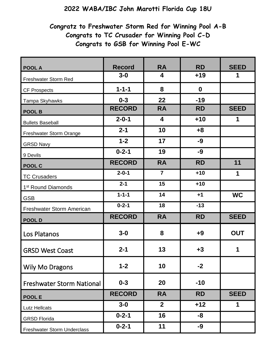## **2022 WABA/IBC John Marotti Florida Cup 18U**

## **Congratz to Freshwater Storm Red for Winning Pool A-B Congrats to TC Crusader for Winning Pool C-D Congrats to GSB for Winning Pool E-WC**

| <b>POOL A</b>                      | <b>Record</b> | <b>RA</b>      | <b>RD</b>        | <b>SEED</b> |
|------------------------------------|---------------|----------------|------------------|-------------|
| Freshwater Storm Red               | $3-0$         | 4              | $+19$            | 1           |
| <b>CF Prospects</b>                | $1 - 1 - 1$   | 8              | $\boldsymbol{0}$ |             |
| Tampa Skyhawks                     | $0 - 3$       | 22             | $-19$            |             |
| <b>POOL B</b>                      | <b>RECORD</b> | <b>RA</b>      | <b>RD</b>        | <b>SEED</b> |
| <b>Bullets Baseball</b>            | $2 - 0 - 1$   | 4              | $+10$            | 1           |
| Freshwater Storm Orange            | $2 - 1$       | 10             | $+8$             |             |
| <b>GRSD Navy</b>                   | $1 - 2$       | 17             | $-9$             |             |
| 9 Devils                           | $0 - 2 - 1$   | 19             | $-9$             |             |
| POOL C                             | <b>RECORD</b> | <b>RA</b>      | <b>RD</b>        | 11          |
| <b>TC Crusaders</b>                | $2 - 0 - 1$   | $\overline{7}$ | $+10$            | 1           |
| 1 <sup>st</sup> Round Diamonds     | $2 - 1$       | 15             | $+10$            |             |
| <b>GSB</b>                         | $1 - 1 - 1$   | 14             | $+1$             | <b>WC</b>   |
| Freshwater Storm American          | $0 - 2 - 1$   | 18             | $-13$            |             |
| POOL D                             | <b>RECORD</b> | <b>RA</b>      | <b>RD</b>        | <b>SEED</b> |
| Los Platanos                       | $3-0$         | 8              | $+9$             | <b>OUT</b>  |
| <b>GRSD West Coast</b>             | $2 - 1$       | 13             | $+3$             | 1           |
| <b>Wily Mo Dragons</b>             | $1 - 2$       | 10             | $-2$             |             |
| <b>Freshwater Storm National</b>   | $0 - 3$       | 20             | $-10$            |             |
| <b>POOLE</b>                       | <b>RECORD</b> | <b>RA</b>      | <b>RD</b>        | <b>SEED</b> |
| <b>Lutz Hellcats</b>               | $3-0$         | $\overline{2}$ | $+12$            | 1           |
| <b>GRSD Florida</b>                | $0 - 2 - 1$   | 16             | -8               |             |
| <b>Freshwater Storm Underclass</b> | $0 - 2 - 1$   | 11             | $-9$             |             |